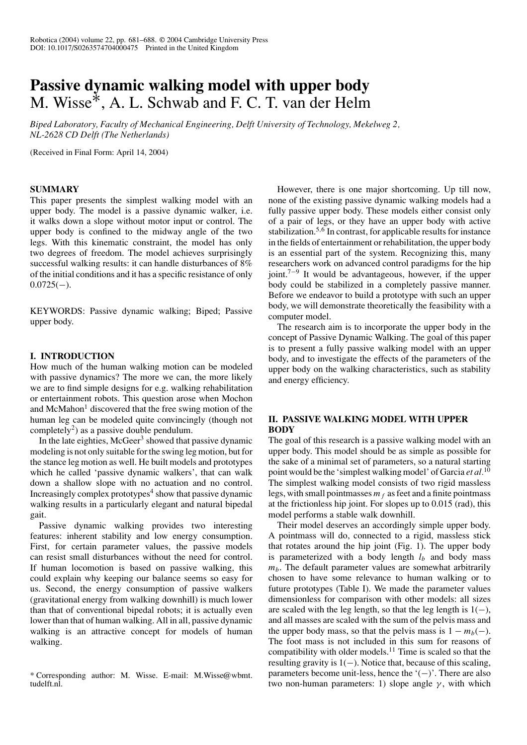# **Passive dynamic walking model with upper body** M. Wisse<sup>∗</sup>, A. L. Schwab and F. C. T. van der Helm

*Biped Laboratory, Faculty of Mechanical Engineering, Delft University of Technology, Mekelweg 2, NL-2628 CD Delft (The Netherlands)*

(Received in Final Form: April 14, 2004)

#### **SUMMARY**

This paper presents the simplest walking model with an upper body. The model is a passive dynamic walker, i.e. it walks down a slope without motor input or control. The upper body is confined to the midway angle of the two legs. With this kinematic constraint, the model has only two degrees of freedom. The model achieves surprisingly successful walking results: it can handle disturbances of 8% of the initial conditions and it has a specific resistance of only  $0.0725(-)$ .

KEYWORDS: Passive dynamic walking; Biped; Passive upper body.

#### **I. INTRODUCTION**

How much of the human walking motion can be modeled with passive dynamics? The more we can, the more likely we are to find simple designs for e.g. walking rehabilitation or entertainment robots. This question arose when Mochon and McMahon<sup>1</sup> discovered that the free swing motion of the human leg can be modeled quite convincingly (though not completely<sup>2</sup>) as a passive double pendulum.

In the late eighties, McGeer<sup>3</sup> showed that passive dynamic modeling is not only suitable for the swing leg motion, but for the stance leg motion as well. He built models and prototypes which he called 'passive dynamic walkers', that can walk down a shallow slope with no actuation and no control. Increasingly complex prototypes<sup>4</sup> show that passive dynamic walking results in a particularly elegant and natural bipedal gait.

Passive dynamic walking provides two interesting features: inherent stability and low energy consumption. First, for certain parameter values, the passive models can resist small disturbances without the need for control. If human locomotion is based on passive walking, this could explain why keeping our balance seems so easy for us. Second, the energy consumption of passive walkers (gravitational energy from walking downhill) is much lower than that of conventional bipedal robots; it is actually even lower than that of human walking. All in all, passive dynamic walking is an attractive concept for models of human walking.

However, there is one major shortcoming. Up till now, none of the existing passive dynamic walking models had a fully passive upper body. These models either consist only of a pair of legs, or they have an upper body with active stabilization.<sup>5,6</sup> In contrast, for applicable results for instance in the fields of entertainment or rehabilitation, the upper body is an essential part of the system. Recognizing this, many researchers work on advanced control paradigms for the hip joint.<sup>7−9</sup> It would be advantageous, however, if the upper body could be stabilized in a completely passive manner. Before we endeavor to build a prototype with such an upper body, we will demonstrate theoretically the feasibility with a computer model.

The research aim is to incorporate the upper body in the concept of Passive Dynamic Walking. The goal of this paper is to present a fully passive walking model with an upper body, and to investigate the effects of the parameters of the upper body on the walking characteristics, such as stability and energy efficiency.

#### **II. PASSIVE WALKING MODEL WITH UPPER BODY**

The goal of this research is a passive walking model with an upper body. This model should be as simple as possible for the sake of a minimal set of parameters, so a natural starting point would be the 'simplest walking model' of Garcia *et al.*<sup>10</sup> The simplest walking model consists of two rigid massless legs, with small pointmasses  $m_f$  as feet and a finite pointmass at the frictionless hip joint. For slopes up to 0.015 (rad), this model performs a stable walk downhill.

Their model deserves an accordingly simple upper body. A pointmass will do, connected to a rigid, massless stick that rotates around the hip joint (Fig. 1). The upper body is parameterized with a body length  $l_b$  and body mass  $m<sub>b</sub>$ . The default parameter values are somewhat arbitrarily chosen to have some relevance to human walking or to future prototypes (Table I). We made the parameter values dimensionless for comparison with other models: all sizes are scaled with the leg length, so that the leg length is  $1(-)$ , and all masses are scaled with the sum of the pelvis mass and the upper body mass, so that the pelvis mass is  $1 - m_b(-)$ . The foot mass is not included in this sum for reasons of compatibility with older models. $<sup>11</sup>$  Time is scaled so that the</sup> resulting gravity is 1(−). Notice that, because of this scaling, parameters become unit-less, hence the '(−)'. There are also two non-human parameters: 1) slope angle  $\gamma$ , with which

<sup>\*</sup> Corresponding author: M. Wisse. E-mail: M.Wisse@wbmt. tudelft nl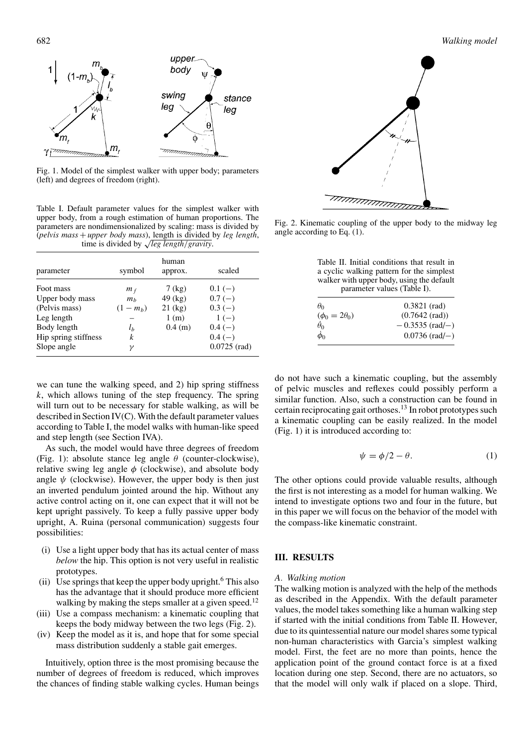

Fig. 1. Model of the simplest walker with upper body; parameters (left) and degrees of freedom (right).

Table I. Default parameter values for the simplest walker with upper body, from a rough estimation of human proportions. The parameters are nondimensionalized by scaling: mass is divided by (*pelvis mass* + *upper body mass*), length is divided by *leg length*, time is divided by <sup>√</sup>*leg length/gravity*.

| parameter            | symbol         | human<br>approx. | scaled         |
|----------------------|----------------|------------------|----------------|
| Foot mass            | $m_f$          | $7$ (kg)         | $0.1(-)$       |
| Upper body mass      | m <sub>b</sub> | $49$ (kg)        | $0.7(-)$       |
| (Pelvis mass)        | $(1 - m_h)$    | $21$ (kg)        | $0.3(-)$       |
| Leg length           |                | 1(m)             | $1(-)$         |
| Body length          | l <sub>b</sub> | 0.4 (m)          | $0.4(-)$       |
| Hip spring stiffness | k              |                  | $0.4(-)$       |
| Slope angle          | γ              |                  | $0.0725$ (rad) |

we can tune the walking speed, and 2) hip spring stiffness *k*, which allows tuning of the step frequency. The spring will turn out to be necessary for stable walking, as will be described in Section IV(C). With the default parameter values according to Table I, the model walks with human-like speed and step length (see Section IVA).

As such, the model would have three degrees of freedom (Fig. 1): absolute stance leg angle *θ* (counter-clockwise), relative swing leg angle  $\phi$  (clockwise), and absolute body angle  $\psi$  (clockwise). However, the upper body is then just an inverted pendulum jointed around the hip. Without any active control acting on it, one can expect that it will not be kept upright passively. To keep a fully passive upper body upright, A. Ruina (personal communication) suggests four possibilities:

- (i) Use a light upper body that has its actual center of mass *below* the hip. This option is not very useful in realistic prototypes.
- (ii) Use springs that keep the upper body upright.<sup>6</sup> This also has the advantage that it should produce more efficient walking by making the steps smaller at a given speed.<sup>12</sup>
- (iii) Use a compass mechanism: a kinematic coupling that keeps the body midway between the two legs (Fig. 2).
- (iv) Keep the model as it is, and hope that for some special mass distribution suddenly a stable gait emerges.

Intuitively, option three is the most promising because the number of degrees of freedom is reduced, which improves the chances of finding stable walking cycles. Human beings





Fig. 2. Kinematic coupling of the upper body to the midway leg angle according to Eq. (1).

| $\theta_0$             | $0.3821$ (rad)           |
|------------------------|--------------------------|
| $(\phi_0 = 2\theta_0)$ | $(0.7642 \text{ (rad)})$ |
| $\theta_0$             | $-0.3535$ (rad/-)        |
| $\dot{\phi}_0$         | $0.0736$ (rad/-)         |

do not have such a kinematic coupling, but the assembly of pelvic muscles and reflexes could possibly perform a similar function. Also, such a construction can be found in certain reciprocating gait orthoses.<sup>13</sup> In robot prototypes such a kinematic coupling can be easily realized. In the model (Fig. 1) it is introduced according to:

$$
\psi = \phi/2 - \theta. \tag{1}
$$

The other options could provide valuable results, although the first is not interesting as a model for human walking. We intend to investigate options two and four in the future, but in this paper we will focus on the behavior of the model with the compass-like kinematic constraint.

# **III. RESULTS**

#### *A. Walking motion*

The walking motion is analyzed with the help of the methods as described in the Appendix. With the default parameter values, the model takes something like a human walking step if started with the initial conditions from Table II. However, due to its quintessential nature our model shares some typical non-human characteristics with Garcia's simplest walking model. First, the feet are no more than points, hence the application point of the ground contact force is at a fixed location during one step. Second, there are no actuators, so that the model will only walk if placed on a slope. Third,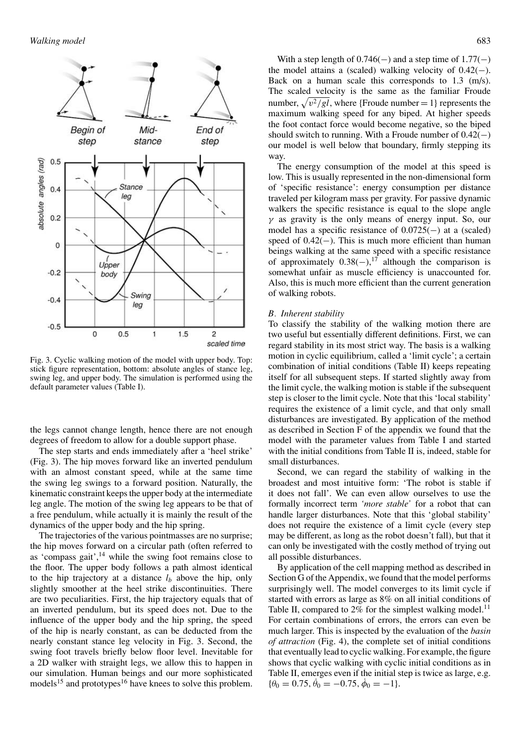

Fig. 3. Cyclic walking motion of the model with upper body. Top: stick figure representation, bottom: absolute angles of stance leg, swing leg, and upper body. The simulation is performed using the default parameter values (Table I).

the legs cannot change length, hence there are not enough degrees of freedom to allow for a double support phase.

The step starts and ends immediately after a 'heel strike' (Fig. 3). The hip moves forward like an inverted pendulum with an almost constant speed, while at the same time the swing leg swings to a forward position. Naturally, the kinematic constraint keeps the upper body at the intermediate leg angle. The motion of the swing leg appears to be that of a free pendulum, while actually it is mainly the result of the dynamics of the upper body and the hip spring.

The trajectories of the various pointmasses are no surprise; the hip moves forward on a circular path (often referred to as 'compass gait', $^{14}$  while the swing foot remains close to the floor. The upper body follows a path almost identical to the hip trajectory at a distance  $l<sub>b</sub>$  above the hip, only slightly smoother at the heel strike discontinuities. There are two peculiarities. First, the hip trajectory equals that of an inverted pendulum, but its speed does not. Due to the influence of the upper body and the hip spring, the speed of the hip is nearly constant, as can be deducted from the nearly constant stance leg velocity in Fig. 3. Second, the swing foot travels briefly below floor level. Inevitable for a 2D walker with straight legs, we allow this to happen in our simulation. Human beings and our more sophisticated models<sup>15</sup> and prototypes<sup>16</sup> have knees to solve this problem.

With a step length of  $0.746(-)$  and a step time of  $1.77(-)$ the model attains a (scaled) walking velocity of  $0.42(-)$ . Back on a human scale this corresponds to 1.3 (m/s). The scaled velocity is the same as the familiar Froude number,  $\sqrt{v^2/gl}$ , where {Froude number = 1} represents the maximum walking speed for any biped. At higher speeds the foot contact force would become negative, so the biped should switch to running. With a Froude number of  $0.42(-)$ our model is well below that boundary, firmly stepping its way.

The energy consumption of the model at this speed is low. This is usually represented in the non-dimensional form of 'specific resistance': energy consumption per distance traveled per kilogram mass per gravity. For passive dynamic walkers the specific resistance is equal to the slope angle *γ* as gravity is the only means of energy input. So, our model has a specific resistance of  $0.0725(-)$  at a (scaled) speed of 0.42(−). This is much more efficient than human beings walking at the same speed with a specific resistance of approximately  $0.38(-)$ ,<sup>17</sup> although the comparison is somewhat unfair as muscle efficiency is unaccounted for. Also, this is much more efficient than the current generation of walking robots.

#### *B. Inherent stability*

To classify the stability of the walking motion there are two useful but essentially different definitions. First, we can regard stability in its most strict way. The basis is a walking motion in cyclic equilibrium, called a 'limit cycle'; a certain combination of initial conditions (Table II) keeps repeating itself for all subsequent steps. If started slightly away from the limit cycle, the walking motion is stable if the subsequent step is closer to the limit cycle. Note that this 'local stability' requires the existence of a limit cycle, and that only small disturbances are investigated. By application of the method as described in Section F of the appendix we found that the model with the parameter values from Table I and started with the initial conditions from Table II is, indeed, stable for small disturbances.

Second, we can regard the stability of walking in the broadest and most intuitive form: 'The robot is stable if it does not fall'. We can even allow ourselves to use the formally incorrect term *'more stable'* for a robot that can handle larger disturbances. Note that this 'global stability' does not require the existence of a limit cycle (every step may be different, as long as the robot doesn't fall), but that it can only be investigated with the costly method of trying out all possible disturbances.

By application of the cell mapping method as described in Section G of the Appendix, we found that the model performs surprisingly well. The model converges to its limit cycle if started with errors as large as 8% on all initial conditions of Table II, compared to  $2\%$  for the simplest walking model.<sup>11</sup> For certain combinations of errors, the errors can even be much larger. This is inspected by the evaluation of the *basin of attraction* (Fig. 4), the complete set of initial conditions that eventually lead to cyclic walking. For example, the figure shows that cyclic walking with cyclic initial conditions as in Table II, emerges even if the initial step is twice as large, e.g.  ${\theta_0 = 0.75, \dot{\theta}_0 = -0.75, \dot{\phi}_0 = -1}.$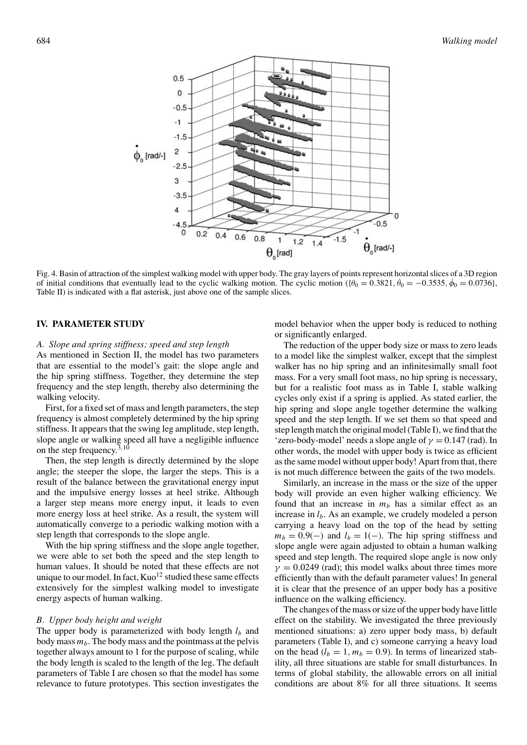

Fig. 4. Basin of attraction of the simplest walking model with upper body. The gray layers of points represent horizontal slices of a 3D region of initial conditions that eventually lead to the cyclic walking motion. The cyclic motion ( $\{\theta_0 = 0.3821, \dot{\theta}_0 = -0.3535, \dot{\phi}_0 = 0.0736\}$ , Table II) is indicated with a flat asterisk, just above one of the sample slices.

#### **IV. PARAMETER STUDY**

#### *A. Slope and spring stiffness; speed and step length*

As mentioned in Section II, the model has two parameters that are essential to the model's gait: the slope angle and the hip spring stiffness. Together, they determine the step frequency and the step length, thereby also determining the walking velocity.

First, for a fixed set of mass and length parameters, the step frequency is almost completely determined by the hip spring stiffness. It appears that the swing leg amplitude, step length, slope angle or walking speed all have a negligible influence on the step frequency.<sup>3</sup>*,*<sup>10</sup>

Then, the step length is directly determined by the slope angle; the steeper the slope, the larger the steps. This is a result of the balance between the gravitational energy input and the impulsive energy losses at heel strike. Although a larger step means more energy input, it leads to even more energy loss at heel strike. As a result, the system will automatically converge to a periodic walking motion with a step length that corresponds to the slope angle.

With the hip spring stiffness and the slope angle together, we were able to set both the speed and the step length to human values. It should be noted that these effects are not unique to our model. In fact,  $Kuo^{12}$  studied these same effects extensively for the simplest walking model to investigate energy aspects of human walking.

#### *B. Upper body height and weight*

The upper body is parameterized with body length  $l_b$  and body mass  $m_b$ . The body mass and the pointmass at the pelvis together always amount to 1 for the purpose of scaling, while the body length is scaled to the length of the leg. The default parameters of Table I are chosen so that the model has some relevance to future prototypes. This section investigates the model behavior when the upper body is reduced to nothing or significantly enlarged.

The reduction of the upper body size or mass to zero leads to a model like the simplest walker, except that the simplest walker has no hip spring and an infinitesimally small foot mass. For a very small foot mass, no hip spring is necessary, but for a realistic foot mass as in Table I, stable walking cycles only exist if a spring is applied. As stated earlier, the hip spring and slope angle together determine the walking speed and the step length. If we set them so that speed and step length match the original model (Table I), we find that the 'zero-body-model' needs a slope angle of  $\gamma = 0.147$  (rad). In other words, the model with upper body is twice as efficient as the same model without upper body! Apart from that, there is not much difference between the gaits of the two models.

Similarly, an increase in the mass or the size of the upper body will provide an even higher walking efficiency. We found that an increase in  $m<sub>b</sub>$  has a similar effect as an increase in *lb*. As an example, we crudely modeled a person carrying a heavy load on the top of the head by setting  $m_b = 0.9(-)$  and  $l_b = 1(-)$ . The hip spring stiffness and slope angle were again adjusted to obtain a human walking speed and step length. The required slope angle is now only  $\gamma = 0.0249$  (rad); this model walks about three times more efficiently than with the default parameter values! In general it is clear that the presence of an upper body has a positive influence on the walking efficiency.

The changes of the mass or size of the upper body have little effect on the stability. We investigated the three previously mentioned situations: a) zero upper body mass, b) default parameters (Table I), and c) someone carrying a heavy load on the head  $(l_b = 1, m_b = 0.9)$ . In terms of linearized stability, all three situations are stable for small disturbances. In terms of global stability, the allowable errors on all initial conditions are about 8% for all three situations. It seems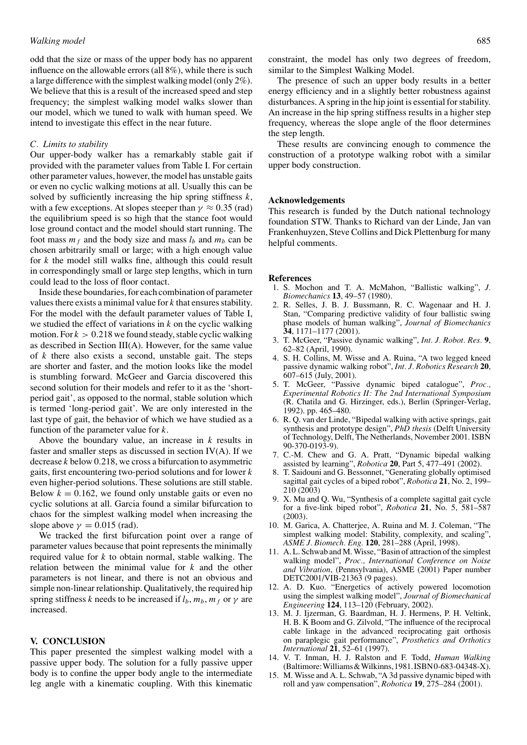#### *Walking model* 685

odd that the size or mass of the upper body has no apparent influence on the allowable errors (all 8%), while there is such a large difference with the simplest walking model (only 2%). We believe that this is a result of the increased speed and step frequency; the simplest walking model walks slower than our model, which we tuned to walk with human speed. We intend to investigate this effect in the near future.

#### *C. Limits to stability*

Our upper-body walker has a remarkably stable gait if provided with the parameter values from Table I. For certain other parameter values, however, the model has unstable gaits or even no cyclic walking motions at all. Usually this can be solved by sufficiently increasing the hip spring stiffness *k*, with a few exceptions. At slopes steeper than  $\gamma \approx 0.35$  (rad) the equilibrium speed is so high that the stance foot would lose ground contact and the model should start running. The foot mass  $m_f$  and the body size and mass  $l_b$  and  $m_b$  can be chosen arbitrarily small or large; with a high enough value for *k* the model still walks fine, although this could result in correspondingly small or large step lengths, which in turn could lead to the loss of floor contact.

Inside these boundaries, for each combination of parameter values there exists a minimal value for *k* that ensures stability. For the model with the default parameter values of Table I, we studied the effect of variations in *k* on the cyclic walking motion. For  $k > 0.218$  we found steady, stable cyclic walking as described in Section III(A). However, for the same value of *k* there also exists a second, unstable gait. The steps are shorter and faster, and the motion looks like the model is stumbling forward. McGeer and Garcia discovered this second solution for their models and refer to it as the 'shortperiod gait', as opposed to the normal, stable solution which is termed 'long-period gait'. We are only interested in the last type of gait, the behavior of which we have studied as a function of the parameter value for *k*.

Above the boundary value, an increase in *k* results in faster and smaller steps as discussed in section IV(A). If we decrease *k* below 0*.*218, we cross a bifurcation to asymmetric gaits, first encountering two-period solutions and for lower *k* even higher-period solutions. These solutions are still stable. Below  $k = 0.162$ , we found only unstable gaits or even no cyclic solutions at all. Garcia found a similar bifurcation to chaos for the simplest walking model when increasing the slope above  $\gamma = 0.015$  (rad).

We tracked the first bifurcation point over a range of parameter values because that point represents the minimally required value for *k* to obtain normal, stable walking. The relation between the minimal value for *k* and the other parameters is not linear, and there is not an obvious and simple non-linear relationship. Qualitatively, the required hip spring stiffness *k* needs to be increased if  $l_b$ ,  $m_b$ ,  $m_f$  or  $\gamma$  are increased.

#### **V. CONCLUSION**

This paper presented the simplest walking model with a passive upper body. The solution for a fully passive upper body is to confine the upper body angle to the intermediate leg angle with a kinematic coupling. With this kinematic

constraint, the model has only two degrees of freedom, similar to the Simplest Walking Model.

The presence of such an upper body results in a better energy efficiency and in a slightly better robustness against disturbances. A spring in the hip joint is essential for stability. An increase in the hip spring stiffness results in a higher step frequency, whereas the slope angle of the floor determines the step length.

These results are convincing enough to commence the construction of a prototype walking robot with a similar upper body construction.

#### **Acknowledgements**

This research is funded by the Dutch national technology foundation STW. Thanks to Richard van der Linde, Jan van Frankenhuyzen, Steve Collins and Dick Plettenburg for many helpful comments.

#### **References**

- 1. S. Mochon and T. A. McMahon, "Ballistic walking", *J. Biomechanics* **13**, 49–57 (1980).
- 2. R. Selles, J. B. J. Bussmann, R. C. Wagenaar and H. J. Stan, "Comparing predictive validity of four ballistic swing phase models of human walking", *Journal of Biomechanics* **34**, 1171–1177 (2001).
- 3. T. McGeer, "Passive dynamic walking", *Int. J. Robot. Res.* **9**, 62–82 (April, 1990).
- 4. S. H. Collins, M. Wisse and A. Ruina, "A two legged kneed passive dynamic walking robot", *Int. J. Robotics Research* **20**, 607–615 (July, 2001).
- 5. T. McGeer, "Passive dynamic biped catalogue", *Proc., Experimental Robotics II: The 2nd International Symposium* (R. Chatila and G. Hirzinger, eds.), Berlin (Springer-Verlag, 1992). pp. 465–480.
- 6. R. Q. van der Linde, "Bipedal walking with active springs, gait synthesis and prototype design", *PhD thesis* (Delft University of Technology, Delft, The Netherlands, November 2001. ISBN 90-370-0193-9).
- 7. C.-M. Chew and G. A. Pratt, "Dynamic bipedal walking assisted by learning", *Robotica* **20**, Part 5, 477–491 (2002).
- 8. T. Saidouni and G. Bessonnet, "Generating globally optimised sagittal gait cycles of a biped robot", *Robotica* **21**, No. 2, 199– 210 (2003)
- 9. X. Mu and Q. Wu, "Synthesis of a complete sagittal gait cycle for a five-link biped robot", *Robotica* **21**, No. 5, 581–587 (2003).
- 10. M. Garica, A. Chatterjee, A. Ruina and M. J. Coleman, "The simplest walking model: Stability, complexity, and scaling", *ASME J. Biomech. Eng.* **120**, 281–288 (April, 1998).
- 11. A. L. Schwab and M. Wisse, "Basin of attraction of the simplest walking model", *Proc., International Conference on Noise and Vibration*, (Pennsylvania), ASME (2001) Paper number DETC2001/VIB-21363 (9 pages).
- 12. A. D. Kuo. "Energetics of actively powered locomotion using the simplest walking model", *Journal of Biomechanical Engineering* **124**, 113–120 (February, 2002).
- 13. M. J. Ijzerman, G. Baardman, H. J. Hermens, P. H. Veltink, H. B. K Boom and G. Zilvold, "The influence of the reciprocal cable linkage in the advanced reciprocating gait orthosis on paraplegic gait performance", *Prosthetics and Orthotics International* **21**, 52–61 (1997).
- 14. V. T. Inman, H. J. Ralston and F. Todd, *Human Walking* (Baltimore:Williams&Wilkinns,1981.ISBN0-683-04348-X).
- 15. M. Wisse and A. L. Schwab, "A 3d passive dynamic biped with roll and yaw compensation", *Robotica* **19**, 275–284 (2001).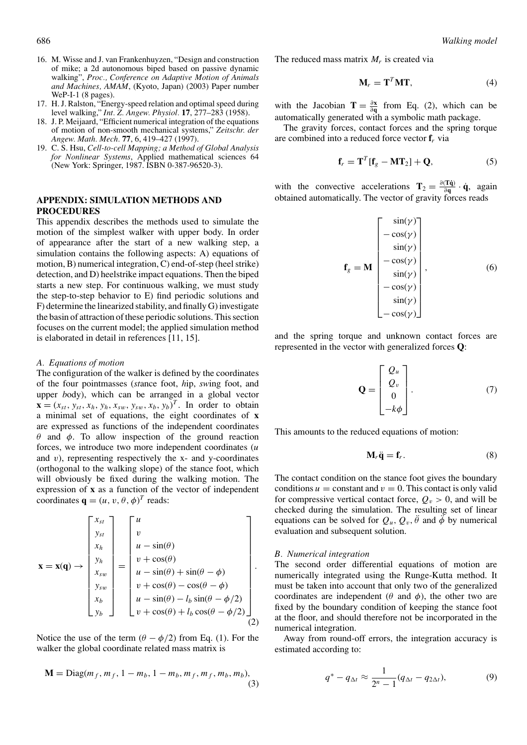- 16. M. Wisse and J. van Frankenhuyzen, "Design and construction of mike; a 2d autonomous biped based on passive dynamic walking", *Proc., Conference on Adaptive Motion of Animals and Machines, AMAM*, (Kyoto, Japan) (2003) Paper number WeP-I-1 (8 pages).
- 17. H. J. Ralston, "Energy-speed relation and optimal speed during level walking," *Int. Z. Angew. Physiol.* **17**, 277–283 (1958).
- 18. J. P. Meijaard, "Efficient numerical integration of the equations of motion of non-smooth mechanical systems," *Zeitschr. der Angew. Math. Mech.* **77**, 6, 419–427 (1997).
- 19. C. S. Hsu, *Cell-to-cell Mapping; a Method of Global Analysis for Nonlinear Systems*, Applied mathematical sciences 64 (New York: Springer, 1987. ISBN 0-387-96520-3).

## **APPENDIX: SIMULATION METHODS AND PROCEDURES**

This appendix describes the methods used to simulate the motion of the simplest walker with upper body. In order of appearance after the start of a new walking step, a simulation contains the following aspects: A) equations of motion, B) numerical integration, C) end-of-step (heel strike) detection, and D) heelstrike impact equations. Then the biped starts a new step. For continuous walking, we must study the step-to-step behavior to E) find periodic solutions and F) determine the linearized stability, and finally G) investigate the basin of attraction of these periodic solutions. This section focuses on the current model; the applied simulation method is elaborated in detail in references [11, 15].

#### *A. Equations of motion*

The configuration of the walker is defined by the coordinates of the four pointmasses (*st*ance foot, *h*ip, *sw*ing foot, and upper *b*ody), which can be arranged in a global vector  $\mathbf{x} = (x_{st}, y_{st}, x_h, y_h, x_{sw}, y_{sw}, x_b, y_b)^T$ . In order to obtain a minimal set of equations, the eight coordinates of **x** are expressed as functions of the independent coordinates *θ* and *φ*. To allow inspection of the ground reaction forces, we introduce two more independent coordinates (*u* and *v*), representing respectively the x- and y-coordinates (orthogonal to the walking slope) of the stance foot, which will obviously be fixed during the walking motion. The expression of **x** as a function of the vector of independent coordinates  $\mathbf{q} = (u, v, \theta, \phi)^T$  reads:

$$
\mathbf{x} = \mathbf{x}(\mathbf{q}) \rightarrow \begin{bmatrix} x_{st} \\ y_{st} \\ x_h \\ x_{sw} \\ y_{sw} \\ x_b \\ y_b \end{bmatrix} = \begin{bmatrix} u \\ v \\ u - \sin(\theta) \\ u + \cos(\theta) \\ u - \sin(\theta) + \sin(\theta - \phi) \\ v + \cos(\theta) - \cos(\theta - \phi) \\ u - \sin(\theta) - l_b \sin(\theta - \phi/2) \\ v + \cos(\theta) + l_b \cos(\theta - \phi/2) \end{bmatrix}.
$$

Notice the use of the term  $(\theta - \phi/2)$  from Eq. (1). For the walker the global coordinate related mass matrix is

$$
\mathbf{M} = \text{Diag}(m_f, m_f, 1 - m_b, 1 - m_b, m_f, m_f, m_b, m_b),
$$
\n(3)

The reduced mass matrix  $M_r$  is created via

$$
\mathbf{M}_r = \mathbf{T}^T \mathbf{M} \mathbf{T},\tag{4}
$$

with the Jacobian **T** =  $\frac{\partial x}{\partial q}$  from Eq. (2), which can be automatically generated with a symbolic math package.

The gravity forces, contact forces and the spring torque are combined into a reduced force vector **f***<sup>r</sup>* via

$$
\mathbf{f}_r = \mathbf{T}^T [\mathbf{f}_g - \mathbf{M} \mathbf{T}_2] + \mathbf{Q}, \tag{5}
$$

with the convective accelerations  $\mathbf{T}_2 = \frac{\partial (\mathbf{T}\dot{\mathbf{q}})}{\partial \mathbf{q}} \cdot \dot{\mathbf{q}}$ , again obtained automatically. The vector of gravity forces reads

$$
\mathbf{f}_{g} = \mathbf{M} \begin{bmatrix} \sin(\gamma) \\ -\cos(\gamma) \\ \sin(\gamma) \\ -\cos(\gamma) \\ \sin(\gamma) \\ -\cos(\gamma) \\ \sin(\gamma) \\ -\cos(\gamma) \\ -\cos(\gamma) \end{bmatrix}, \qquad (6)
$$

and the spring torque and unknown contact forces are represented in the vector with generalized forces **Q**:

$$
\mathbf{Q} = \begin{bmatrix} Q_u \\ Q_v \\ 0 \\ -k\phi \end{bmatrix} . \tag{7}
$$

This amounts to the reduced equations of motion:

$$
\mathbf{M}_r \ddot{\mathbf{q}} = \mathbf{f}_r. \tag{8}
$$

The contact condition on the stance foot gives the boundary conditions  $u =$  constant and  $v = 0$ . This contact is only valid for compressive vertical contact force,  $Q_v > 0$ , and will be checked during the simulation. The resulting set of linear equations can be solved for  $Q_u$ ,  $Q_v$ ,  $\ddot{\theta}$  and  $\ddot{\phi}$  by numerical evaluation and subsequent solution.

#### *B. Numerical integration*

The second order differential equations of motion are numerically integrated using the Runge-Kutta method. It must be taken into account that only two of the generalized coordinates are independent ( $\theta$  and  $\phi$ ), the other two are fixed by the boundary condition of keeping the stance foot at the floor, and should therefore not be incorporated in the numerical integration.

Away from round-off errors, the integration accuracy is estimated according to:

$$
q^* - q_{\Delta t} \approx \frac{1}{2^n - 1} (q_{\Delta t} - q_{2\Delta t}),
$$
 (9)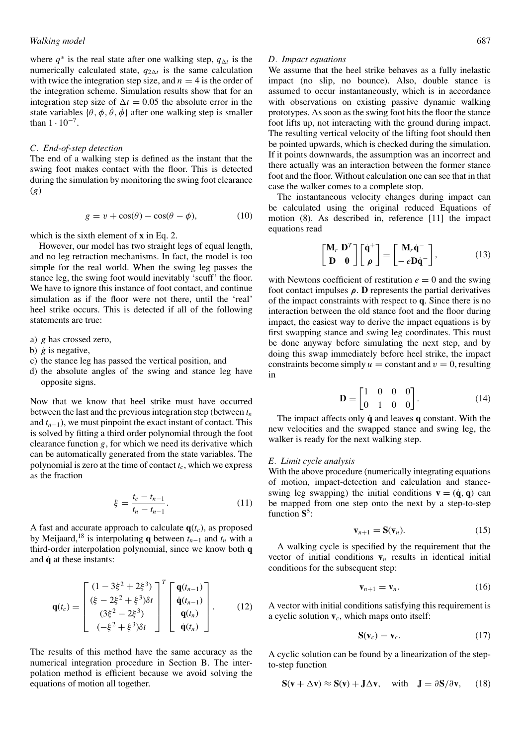where  $q^*$  is the real state after one walking step,  $q_{\Delta t}$  is the numerically calculated state,  $q_{2\Delta t}$  is the same calculation with twice the integration step size, and  $n = 4$  is the order of the integration scheme. Simulation results show that for an integration step size of  $\Delta t = 0.05$  the absolute error in the state variables  $\{\theta, \phi, \dot{\theta}, \dot{\phi}\}$  after one walking step is smaller than  $1 \cdot 10^{-7}$ .

#### *C. End-of-step detection*

The end of a walking step is defined as the instant that the swing foot makes contact with the floor. This is detected during the simulation by monitoring the swing foot clearance (*g*)

$$
g = v + \cos(\theta) - \cos(\theta - \phi), \tag{10}
$$

which is the sixth element of **x** in Eq. 2.

However, our model has two straight legs of equal length, and no leg retraction mechanisms. In fact, the model is too simple for the real world. When the swing leg passes the stance leg, the swing foot would inevitably 'scuff' the floor. We have to ignore this instance of foot contact, and continue simulation as if the floor were not there, until the 'real' heel strike occurs. This is detected if all of the following statements are true:

- a) *g* has crossed zero,
- b) *g*˙ is negative,
- c) the stance leg has passed the vertical position, and
- d) the absolute angles of the swing and stance leg have opposite signs.

Now that we know that heel strike must have occurred between the last and the previous integration step (between  $t_n$ ) and  $t_{n-1}$ ), we must pinpoint the exact instant of contact. This is solved by fitting a third order polynomial through the foot clearance function *g*, for which we need its derivative which can be automatically generated from the state variables. The polynomial is zero at the time of contact  $t_c$ , which we express as the fraction

$$
\xi = \frac{t_c - t_{n-1}}{t_n - t_{n-1}}.\tag{11}
$$

A fast and accurate approach to calculate  $q(t_c)$ , as proposed by Meijaard,<sup>18</sup> is interpolating **q** between  $t_{n-1}$  and  $t_n$  with a third-order interpolation polynomial, since we know both **q** and **q**˙ at these instants:

$$
\mathbf{q}(t_c) = \begin{bmatrix} (1 - 3\xi^2 + 2\xi^3) \\ (\xi - 2\xi^2 + \xi^3)\delta t \\ (3\xi^2 - 2\xi^3) \\ (-\xi^2 + \xi^3)\delta t \end{bmatrix}^T \begin{bmatrix} \mathbf{q}(t_{n-1}) \\ \dot{\mathbf{q}}(t_{n-1}) \\ \mathbf{q}(t_n) \\ \dot{\mathbf{q}}(t_n) \end{bmatrix} . \tag{12}
$$

The results of this method have the same accuracy as the numerical integration procedure in Section B. The interpolation method is efficient because we avoid solving the equations of motion all together.

#### *D. Impact equations*

We assume that the heel strike behaves as a fully inelastic impact (no slip, no bounce). Also, double stance is assumed to occur instantaneously, which is in accordance with observations on existing passive dynamic walking prototypes. As soon as the swing foot hits the floor the stance foot lifts up, not interacting with the ground during impact. The resulting vertical velocity of the lifting foot should then be pointed upwards, which is checked during the simulation. If it points downwards, the assumption was an incorrect and there actually was an interaction between the former stance foot and the floor. Without calculation one can see that in that case the walker comes to a complete stop.

The instantaneous velocity changes during impact can be calculated using the original reduced Equations of motion (8). As described in, reference [11] the impact equations read

$$
\begin{bmatrix} \mathbf{M}_r & \mathbf{D}^T \\ \mathbf{D} & \mathbf{0} \end{bmatrix} \begin{bmatrix} \dot{\mathbf{q}}^+ \\ \rho \end{bmatrix} = \begin{bmatrix} \mathbf{M}_r \dot{\mathbf{q}}^- \\ -e \mathbf{D} \dot{\mathbf{q}}^- \end{bmatrix},
$$
(13)

with Newtons coefficient of restitution  $e = 0$  and the swing foot contact impulses *ρ*. **D** represents the partial derivatives of the impact constraints with respect to **q**. Since there is no interaction between the old stance foot and the floor during impact, the easiest way to derive the impact equations is by first swapping stance and swing leg coordinates. This must be done anyway before simulating the next step, and by doing this swap immediately before heel strike, the impact constraints become simply  $u = constant$  and  $v = 0$ , resulting in

$$
\mathbf{D} = \begin{bmatrix} 1 & 0 & 0 & 0 \\ 0 & 1 & 0 & 0 \end{bmatrix}.
$$
 (14)

The impact affects only **q**˙ and leaves **q** constant. With the new velocities and the swapped stance and swing leg, the walker is ready for the next walking step.

### *E. Limit cycle analysis*

With the above procedure (numerically integrating equations of motion, impact-detection and calculation and stanceswing leg swapping) the initial conditions  $\mathbf{v} = (\dot{\mathbf{q}}, \mathbf{q})$  can be mapped from one step onto the next by a step-to-step function **S**5:

$$
\mathbf{v}_{n+1} = \mathbf{S}(\mathbf{v}_n). \tag{15}
$$

A walking cycle is specified by the requirement that the vector of initial conditions  $\mathbf{v}_n$  results in identical initial conditions for the subsequent step:

$$
\mathbf{v}_{n+1} = \mathbf{v}_n. \tag{16}
$$

A vector with initial conditions satisfying this requirement is a cyclic solution **v***c*, which maps onto itself:

$$
\mathbf{S}(\mathbf{v}_c) = \mathbf{v}_c. \tag{17}
$$

A cyclic solution can be found by a linearization of the stepto-step function

$$
\mathbf{S}(\mathbf{v} + \Delta \mathbf{v}) \approx \mathbf{S}(\mathbf{v}) + \mathbf{J} \Delta \mathbf{v}, \quad \text{with} \quad \mathbf{J} = \partial \mathbf{S} / \partial \mathbf{v}, \quad (18)
$$